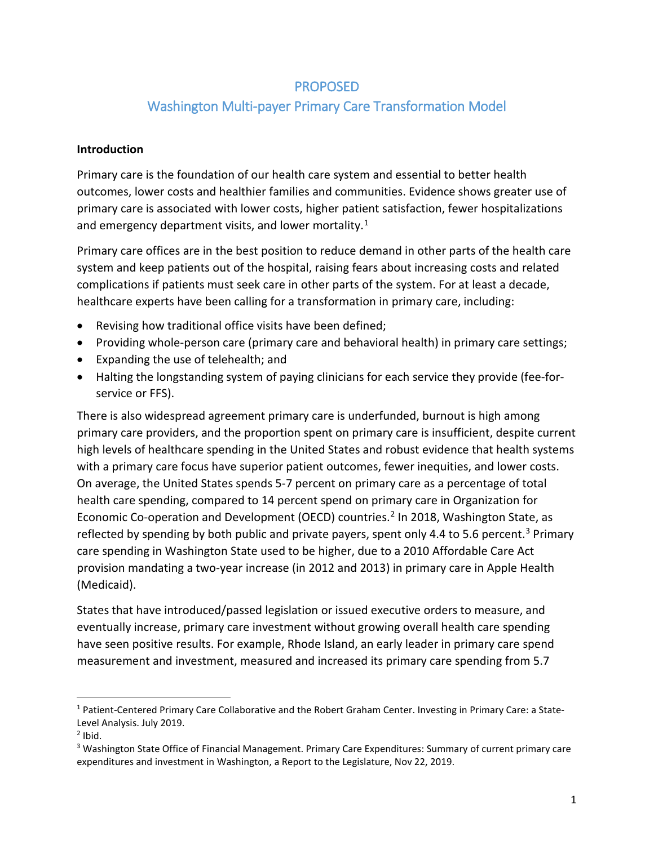# PROPOSED

# Washington Multi-payer Primary Care Transformation Model

#### **Introduction**

Primary care is the foundation of our health care system and essential to better health outcomes, lower costs and healthier families and communities. Evidence shows greater use of primary care is associated with lower costs, higher patient satisfaction, fewer hospitalizations and emergency department visits, and lower mortality.<sup>[1](#page-0-0)</sup>

Primary care offices are in the best position to reduce demand in other parts of the health care system and keep patients out of the hospital, raising fears about increasing costs and related complications if patients must seek care in other parts of the system. For at least a decade, healthcare experts have been calling for a transformation in primary care, including:

- Revising how traditional office visits have been defined;
- Providing whole-person care (primary care and behavioral health) in primary care settings;
- Expanding the use of telehealth; and
- Halting the longstanding system of paying clinicians for each service they provide (fee-forservice or FFS).

There is also widespread agreement primary care is underfunded, burnout is high among primary care providers, and the proportion spent on primary care is insufficient, despite current high levels of healthcare spending in the United States and robust evidence that health systems with a primary care focus have superior patient outcomes, fewer inequities, and lower costs. On average, the United States spends 5-7 percent on primary care as a percentage of total health care spending, compared to 14 percent spend on primary care in Organization for Economic Co-operation and Development (OECD) countries.<sup>[2](#page-0-1)</sup> In 2018, Washington State, as reflected by spending by both public and private payers, spent only 4.4 to 5.6 percent.<sup>3</sup> Primary care spending in Washington State used to be higher, due to a 2010 Affordable Care Act provision mandating a two-year increase (in 2012 and 2013) in primary care in Apple Health (Medicaid).

States that have introduced/passed legislation or issued executive orders to measure, and eventually increase, primary care investment without growing overall health care spending have seen positive results. For example, Rhode Island, an early leader in primary care spend measurement and investment, measured and increased its primary care spending from 5.7

<span id="page-0-0"></span> <sup>1</sup> Patient-Centered Primary Care Collaborative and the Robert Graham Center. Investing in Primary Care: a State-Level Analysis. July 2019.

<span id="page-0-1"></span> $<sup>2</sup>$  Ibid.</sup>

<span id="page-0-2"></span><sup>3</sup> Washington State Office of Financial Management. Primary Care Expenditures: Summary of current primary care expenditures and investment in Washington, a Report to the Legislature, Nov 22, 2019.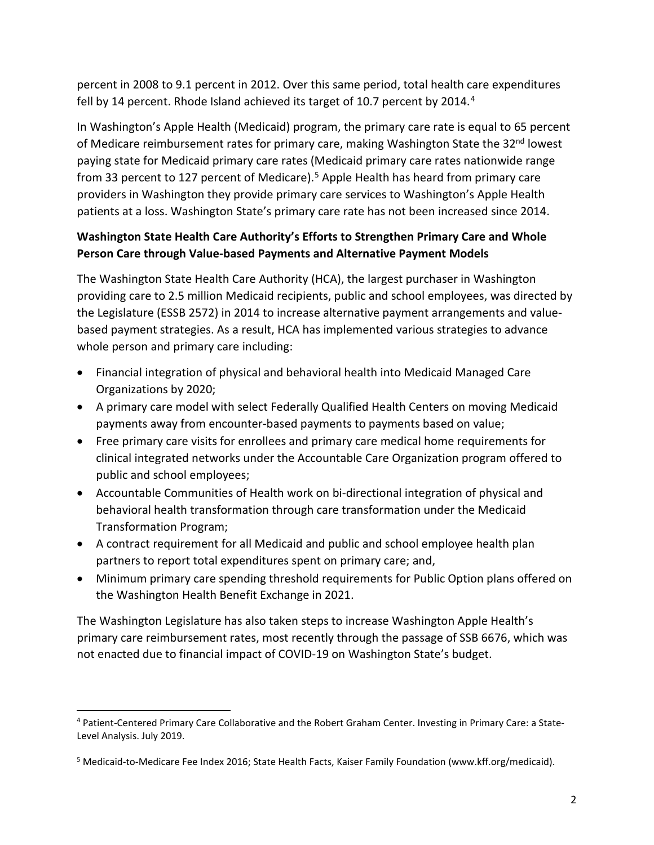percent in 2008 to 9.1 percent in 2012. Over this same period, total health care expenditures fell by 1[4](#page-1-0) percent. Rhode Island achieved its target of 10.7 percent by 2014.<sup>4</sup>

In Washington's Apple Health (Medicaid) program, the primary care rate is equal to 65 percent of Medicare reimbursement rates for primary care, making Washington State the 32<sup>nd</sup> lowest paying state for Medicaid primary care rates (Medicaid primary care rates nationwide range from 33 percent to 127 percent of Medicare).<sup>[5](#page-1-1)</sup> Apple Health has heard from primary care providers in Washington they provide primary care services to Washington's Apple Health patients at a loss. Washington State's primary care rate has not been increased since 2014.

# **Washington State Health Care Authority's Efforts to Strengthen Primary Care and Whole Person Care through Value-based Payments and Alternative Payment Models**

The Washington State Health Care Authority (HCA), the largest purchaser in Washington providing care to 2.5 million Medicaid recipients, public and school employees, was directed by the Legislature (ESSB 2572) in 2014 to increase alternative payment arrangements and valuebased payment strategies. As a result, HCA has implemented various strategies to advance whole person and primary care including:

- Financial integration of physical and behavioral health into Medicaid Managed Care Organizations by 2020;
- A primary care model with select Federally Qualified Health Centers on moving Medicaid payments away from encounter-based payments to payments based on value;
- Free primary care visits for enrollees and primary care medical home requirements for clinical integrated networks under the Accountable Care Organization program offered to public and school employees;
- Accountable Communities of Health work on bi-directional integration of physical and behavioral health transformation through care transformation under the Medicaid Transformation Program;
- A contract requirement for all Medicaid and public and school employee health plan partners to report total expenditures spent on primary care; and,
- Minimum primary care spending threshold requirements for Public Option plans offered on the Washington Health Benefit Exchange in 2021.

The Washington Legislature has also taken steps to increase Washington Apple Health's primary care reimbursement rates, most recently through the passage of SSB 6676, which was not enacted due to financial impact of COVID-19 on Washington State's budget.

<span id="page-1-0"></span> <sup>4</sup> Patient-Centered Primary Care Collaborative and the Robert Graham Center. Investing in Primary Care: a State-Level Analysis. July 2019.

<span id="page-1-1"></span><sup>5</sup> Medicaid-to-Medicare Fee Index 2016; State Health Facts, Kaiser Family Foundation (www.kff.org/medicaid).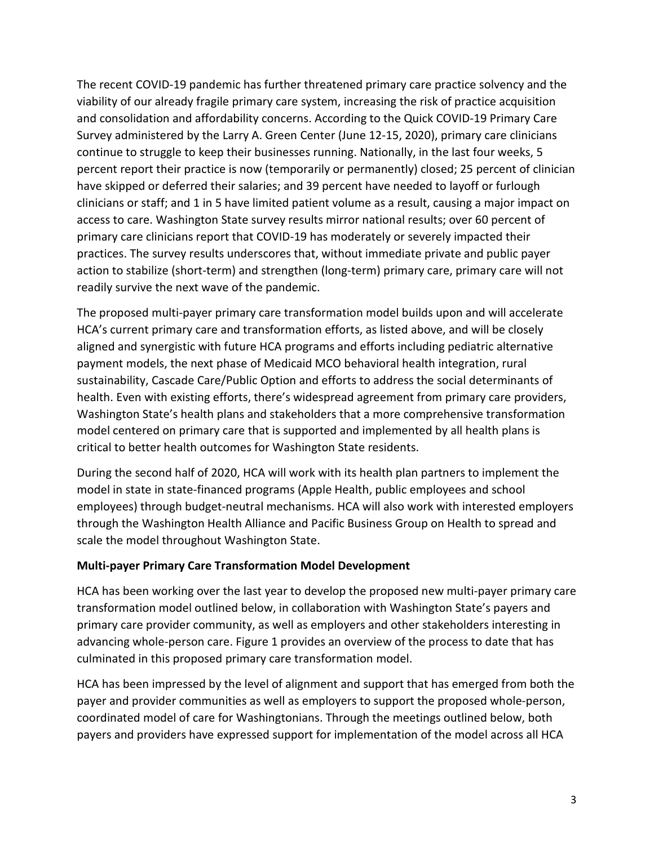The recent COVID-19 pandemic has further threatened primary care practice solvency and the viability of our already fragile primary care system, increasing the risk of practice acquisition and consolidation and affordability concerns. According to the Quick COVID-19 Primary Care Survey administered by the Larry A. Green Center (June 12-15, 2020), primary care clinicians continue to struggle to keep their businesses running. Nationally, in the last four weeks, 5 percent report their practice is now (temporarily or permanently) closed; 25 percent of clinician have skipped or deferred their salaries; and 39 percent have needed to layoff or furlough clinicians or staff; and 1 in 5 have limited patient volume as a result, causing a major impact on access to care. Washington State survey results mirror national results; over 60 percent of primary care clinicians report that COVID-19 has moderately or severely impacted their practices. The survey results underscores that, without immediate private and public payer action to stabilize (short-term) and strengthen (long-term) primary care, primary care will not readily survive the next wave of the pandemic.

The proposed multi-payer primary care transformation model builds upon and will accelerate HCA's current primary care and transformation efforts, as listed above, and will be closely aligned and synergistic with future HCA programs and efforts including pediatric alternative payment models, the next phase of Medicaid MCO behavioral health integration, rural sustainability, Cascade Care/Public Option and efforts to address the social determinants of health. Even with existing efforts, there's widespread agreement from primary care providers, Washington State's health plans and stakeholders that a more comprehensive transformation model centered on primary care that is supported and implemented by all health plans is critical to better health outcomes for Washington State residents.

During the second half of 2020, HCA will work with its health plan partners to implement the model in state in state-financed programs (Apple Health, public employees and school employees) through budget-neutral mechanisms. HCA will also work with interested employers through the Washington Health Alliance and Pacific Business Group on Health to spread and scale the model throughout Washington State.

#### **Multi-payer Primary Care Transformation Model Development**

HCA has been working over the last year to develop the proposed new multi-payer primary care transformation model outlined below, in collaboration with Washington State's payers and primary care provider community, as well as employers and other stakeholders interesting in advancing whole-person care. Figure 1 provides an overview of the process to date that has culminated in this proposed primary care transformation model.

HCA has been impressed by the level of alignment and support that has emerged from both the payer and provider communities as well as employers to support the proposed whole-person, coordinated model of care for Washingtonians. Through the meetings outlined below, both payers and providers have expressed support for implementation of the model across all HCA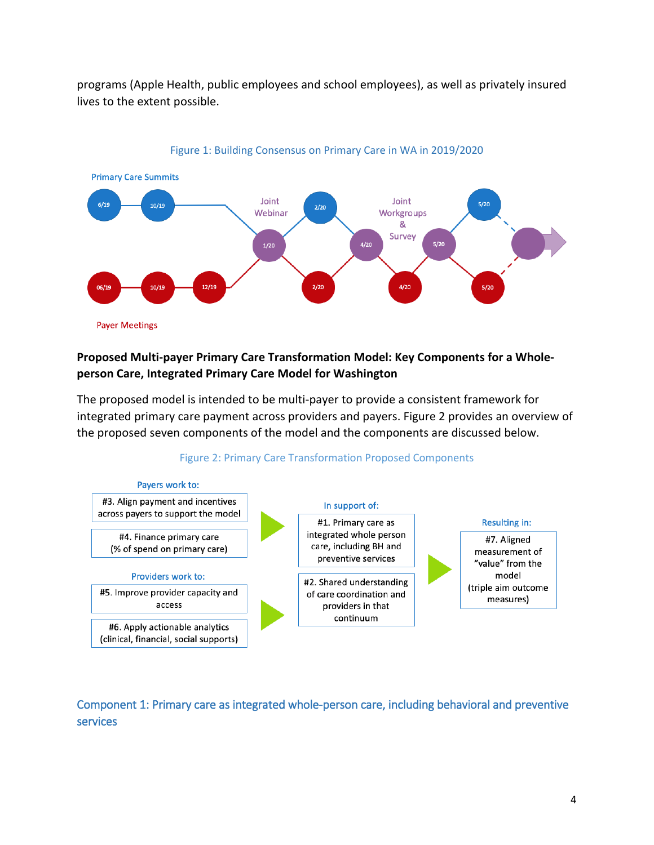programs (Apple Health, public employees and school employees), as well as privately insured lives to the extent possible.



#### Figure 1: Building Consensus on Primary Care in WA in 2019/2020

#### **Proposed Multi-payer Primary Care Transformation Model: Key Components for a Wholeperson Care, Integrated Primary Care Model for Washington**

The proposed model is intended to be multi-payer to provide a consistent framework for integrated primary care payment across providers and payers. Figure 2 provides an overview of the proposed seven components of the model and the components are discussed below.





Component 1: Primary care as integrated whole-person care, including behavioral and preventive services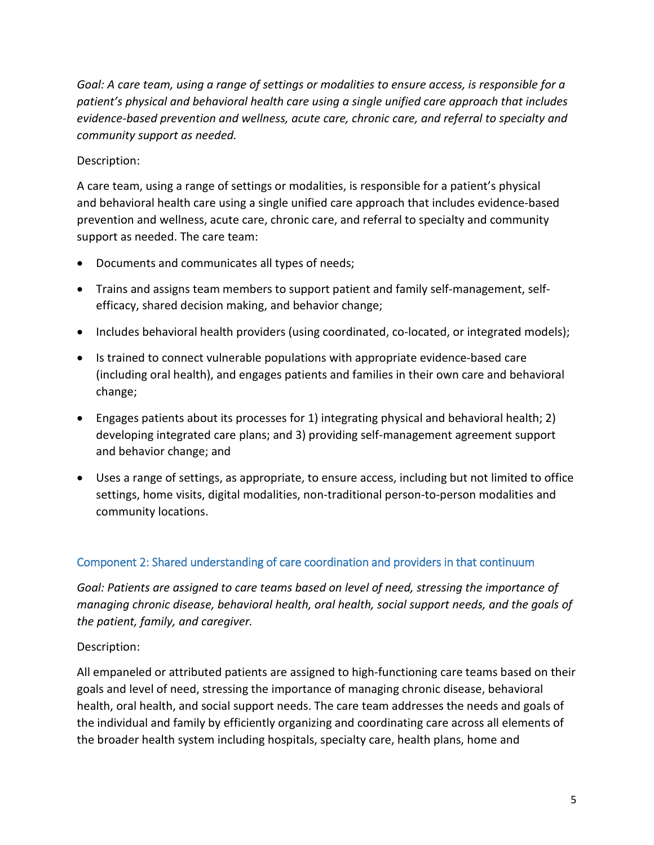*Goal: A care team, using a range of settings or modalities to ensure access, is responsible for a patient's physical and behavioral health care using a single unified care approach that includes evidence-based prevention and wellness, acute care, chronic care, and referral to specialty and community support as needed.* 

### Description:

A care team, using a range of settings or modalities, is responsible for a patient's physical and behavioral health care using a single unified care approach that includes evidence-based prevention and wellness, acute care, chronic care, and referral to specialty and community support as needed. The care team:

- Documents and communicates all types of needs;
- Trains and assigns team members to support patient and family self-management, selfefficacy, shared decision making, and behavior change;
- Includes behavioral health providers (using coordinated, co-located, or integrated models);
- Is trained to connect vulnerable populations with appropriate evidence-based care (including oral health), and engages patients and families in their own care and behavioral change;
- Engages patients about its processes for 1) integrating physical and behavioral health; 2) developing integrated care plans; and 3) providing self-management agreement support and behavior change; and
- Uses a range of settings, as appropriate, to ensure access, including but not limited to office settings, home visits, digital modalities, non-traditional person-to-person modalities and community locations.

# Component 2: Shared understanding of care coordination and providers in that continuum

*Goal: Patients are assigned to care teams based on level of need, stressing the importance of managing chronic disease, behavioral health, oral health, social support needs, and the goals of the patient, family, and caregiver.* 

#### Description:

All empaneled or attributed patients are assigned to high-functioning care teams based on their goals and level of need, stressing the importance of managing chronic disease, behavioral health, oral health, and social support needs. The care team addresses the needs and goals of the individual and family by efficiently organizing and coordinating care across all elements of the broader health system including hospitals, specialty care, health plans, home and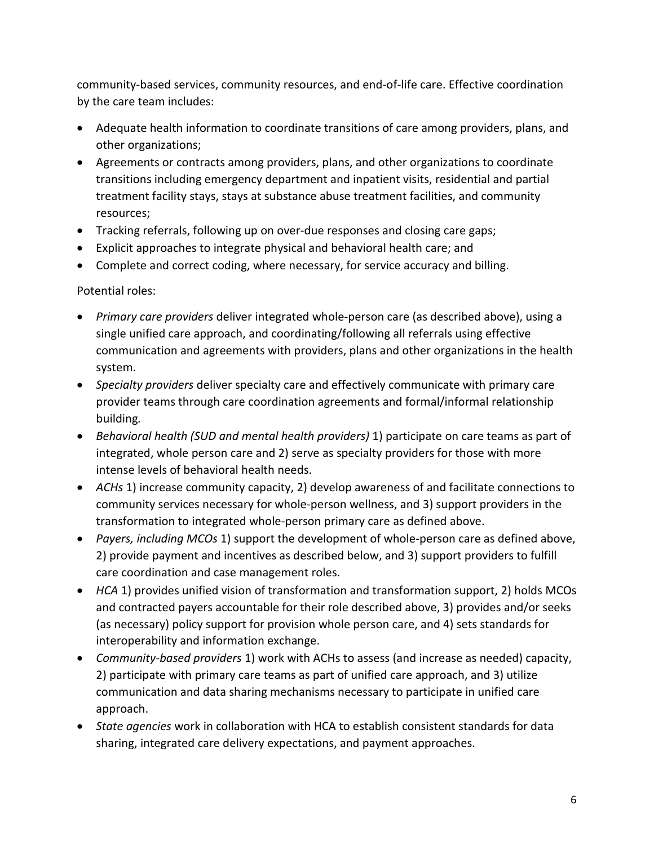community-based services, community resources, and end-of-life care. Effective coordination by the care team includes:

- Adequate health information to coordinate transitions of care among providers, plans, and other organizations;
- Agreements or contracts among providers, plans, and other organizations to coordinate transitions including emergency department and inpatient visits, residential and partial treatment facility stays, stays at substance abuse treatment facilities, and community resources;
- Tracking referrals, following up on over-due responses and closing care gaps;
- Explicit approaches to integrate physical and behavioral health care; and
- Complete and correct coding, where necessary, for service accuracy and billing.

Potential roles:

- *Primary care providers* deliver integrated whole-person care (as described above), using a single unified care approach, and coordinating/following all referrals using effective communication and agreements with providers, plans and other organizations in the health system.
- *Specialty providers* deliver specialty care and effectively communicate with primary care provider teams through care coordination agreements and formal/informal relationship building*.*
- *Behavioral health (SUD and mental health providers)* 1) participate on care teams as part of integrated, whole person care and 2) serve as specialty providers for those with more intense levels of behavioral health needs.
- *ACHs* 1) increase community capacity, 2) develop awareness of and facilitate connections to community services necessary for whole-person wellness, and 3) support providers in the transformation to integrated whole-person primary care as defined above.
- *Payers, including MCOs* 1) support the development of whole-person care as defined above, 2) provide payment and incentives as described below, and 3) support providers to fulfill care coordination and case management roles.
- *HCA* 1) provides unified vision of transformation and transformation support, 2) holds MCOs and contracted payers accountable for their role described above, 3) provides and/or seeks (as necessary) policy support for provision whole person care, and 4) sets standards for interoperability and information exchange.
- *Community-based providers* 1) work with ACHs to assess (and increase as needed) capacity, 2) participate with primary care teams as part of unified care approach, and 3) utilize communication and data sharing mechanisms necessary to participate in unified care approach.
- *State agencies* work in collaboration with HCA to establish consistent standards for data sharing, integrated care delivery expectations, and payment approaches.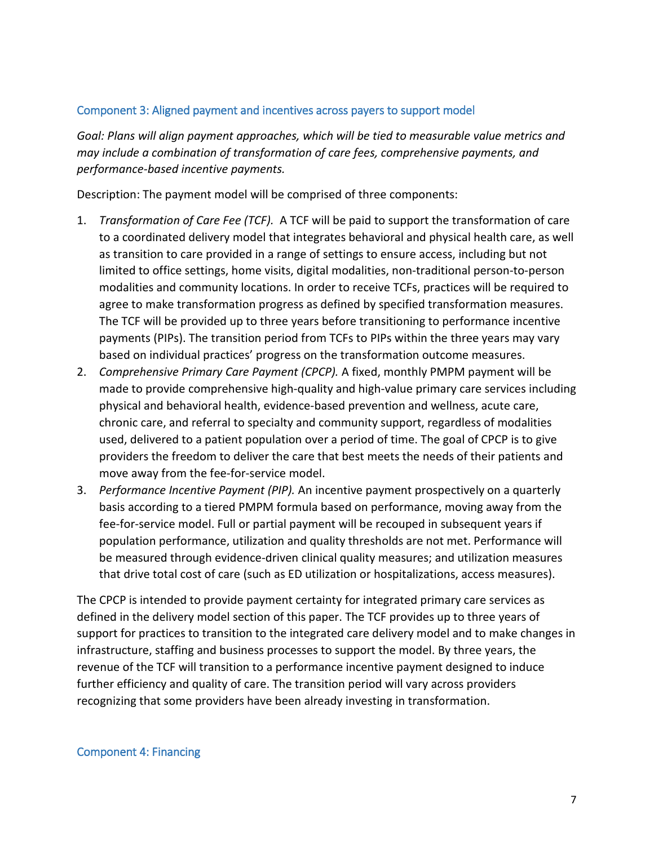#### Component 3: Aligned payment and incentives across payers to support model

*Goal: Plans will align payment approaches, which will be tied to measurable value metrics and may include a combination of transformation of care fees, comprehensive payments, and performance-based incentive payments.* 

Description: The payment model will be comprised of three components:

- 1. *Transformation of Care Fee (TCF).* A TCF will be paid to support the transformation of care to a coordinated delivery model that integrates behavioral and physical health care, as well as transition to care provided in a range of settings to ensure access, including but not limited to office settings, home visits, digital modalities, non-traditional person-to-person modalities and community locations. In order to receive TCFs, practices will be required to agree to make transformation progress as defined by specified transformation measures. The TCF will be provided up to three years before transitioning to performance incentive payments (PIPs). The transition period from TCFs to PIPs within the three years may vary based on individual practices' progress on the transformation outcome measures.
- 2. *Comprehensive Primary Care Payment (CPCP).* A fixed, monthly PMPM payment will be made to provide comprehensive high-quality and high-value primary care services including physical and behavioral health, evidence-based prevention and wellness, acute care, chronic care, and referral to specialty and community support, regardless of modalities used, delivered to a patient population over a period of time. The goal of CPCP is to give providers the freedom to deliver the care that best meets the needs of their patients and move away from the fee-for-service model.
- 3. *Performance Incentive Payment (PIP).* An incentive payment prospectively on a quarterly basis according to a tiered PMPM formula based on performance, moving away from the fee-for-service model. Full or partial payment will be recouped in subsequent years if population performance, utilization and quality thresholds are not met. Performance will be measured through evidence-driven clinical quality measures; and utilization measures that drive total cost of care (such as ED utilization or hospitalizations, access measures).

The CPCP is intended to provide payment certainty for integrated primary care services as defined in the delivery model section of this paper. The TCF provides up to three years of support for practices to transition to the integrated care delivery model and to make changes in infrastructure, staffing and business processes to support the model. By three years, the revenue of the TCF will transition to a performance incentive payment designed to induce further efficiency and quality of care. The transition period will vary across providers recognizing that some providers have been already investing in transformation.

#### Component 4: Financing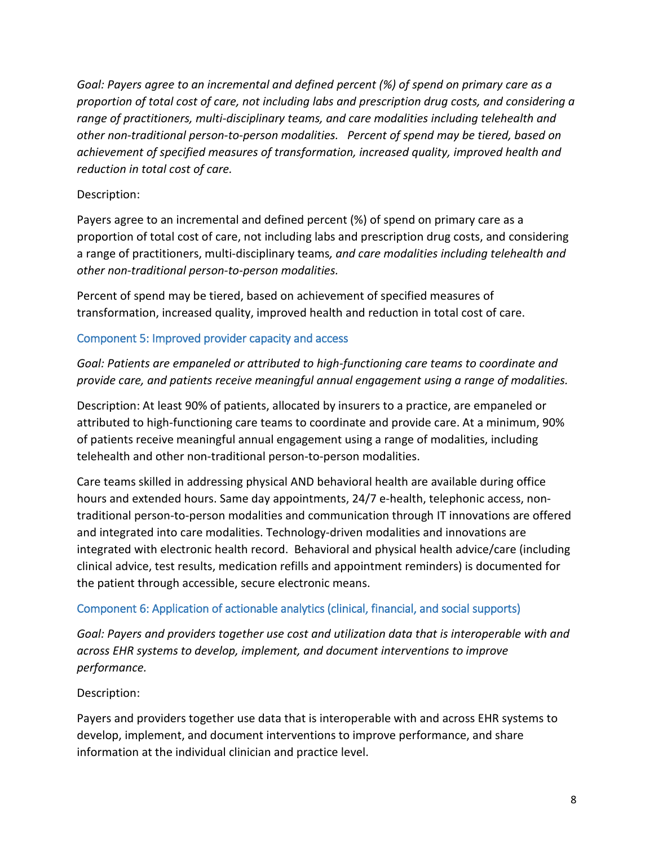*Goal: Payers agree to an incremental and defined percent (%) of spend on primary care as a proportion of total cost of care, not including labs and prescription drug costs, and considering a range of practitioners, multi-disciplinary teams, and care modalities including telehealth and other non-traditional person-to-person modalities. Percent of spend may be tiered, based on achievement of specified measures of transformation, increased quality, improved health and reduction in total cost of care.*

#### Description:

Payers agree to an incremental and defined percent (%) of spend on primary care as a proportion of total cost of care, not including labs and prescription drug costs, and considering a range of practitioners, multi-disciplinary teams*, and care modalities including telehealth and other non-traditional person-to-person modalities.*

Percent of spend may be tiered, based on achievement of specified measures of transformation, increased quality, improved health and reduction in total cost of care.

### Component 5: Improved provider capacity and access

### *Goal: Patients are empaneled or attributed to high-functioning care teams to coordinate and provide care, and patients receive meaningful annual engagement using a range of modalities.*

Description: At least 90% of patients, allocated by insurers to a practice, are empaneled or attributed to high-functioning care teams to coordinate and provide care. At a minimum, 90% of patients receive meaningful annual engagement using a range of modalities, including telehealth and other non-traditional person-to-person modalities.

Care teams skilled in addressing physical AND behavioral health are available during office hours and extended hours. Same day appointments, 24/7 e-health, telephonic access, nontraditional person-to-person modalities and communication through IT innovations are offered and integrated into care modalities. Technology-driven modalities and innovations are integrated with electronic health record. Behavioral and physical health advice/care (including clinical advice, test results, medication refills and appointment reminders) is documented for the patient through accessible, secure electronic means.

#### Component 6: Application of actionable analytics (clinical, financial, and social supports)

*Goal: Payers and providers together use cost and utilization data that is interoperable with and across EHR systems to develop, implement, and document interventions to improve performance.* 

# Description:

Payers and providers together use data that is interoperable with and across EHR systems to develop, implement, and document interventions to improve performance, and share information at the individual clinician and practice level.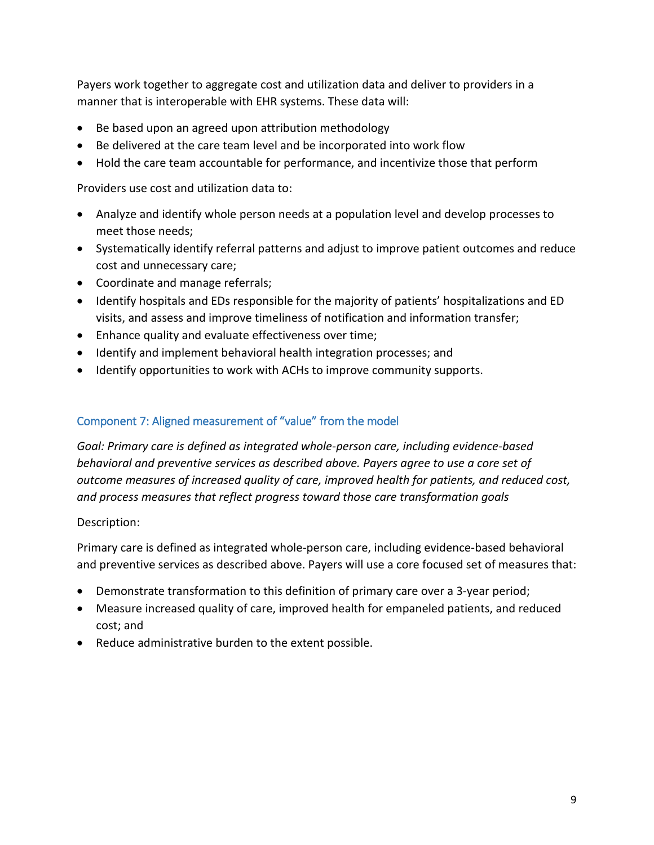Payers work together to aggregate cost and utilization data and deliver to providers in a manner that is interoperable with EHR systems. These data will:

- Be based upon an agreed upon attribution methodology
- Be delivered at the care team level and be incorporated into work flow
- Hold the care team accountable for performance, and incentivize those that perform

Providers use cost and utilization data to:

- Analyze and identify whole person needs at a population level and develop processes to meet those needs;
- Systematically identify referral patterns and adjust to improve patient outcomes and reduce cost and unnecessary care;
- Coordinate and manage referrals;
- Identify hospitals and EDs responsible for the majority of patients' hospitalizations and ED visits, and assess and improve timeliness of notification and information transfer;
- Enhance quality and evaluate effectiveness over time;
- Identify and implement behavioral health integration processes; and
- Identify opportunities to work with ACHs to improve community supports.

### Component 7: Aligned measurement of "value" from the model

*Goal: Primary care is defined as integrated whole-person care, including evidence-based behavioral and preventive services as described above. Payers agree to use a core set of outcome measures of increased quality of care, improved health for patients, and reduced cost, and process measures that reflect progress toward those care transformation goals*

#### Description:

Primary care is defined as integrated whole-person care, including evidence-based behavioral and preventive services as described above. Payers will use a core focused set of measures that:

- Demonstrate transformation to this definition of primary care over a 3-year period;
- Measure increased quality of care, improved health for empaneled patients, and reduced cost; and
- Reduce administrative burden to the extent possible.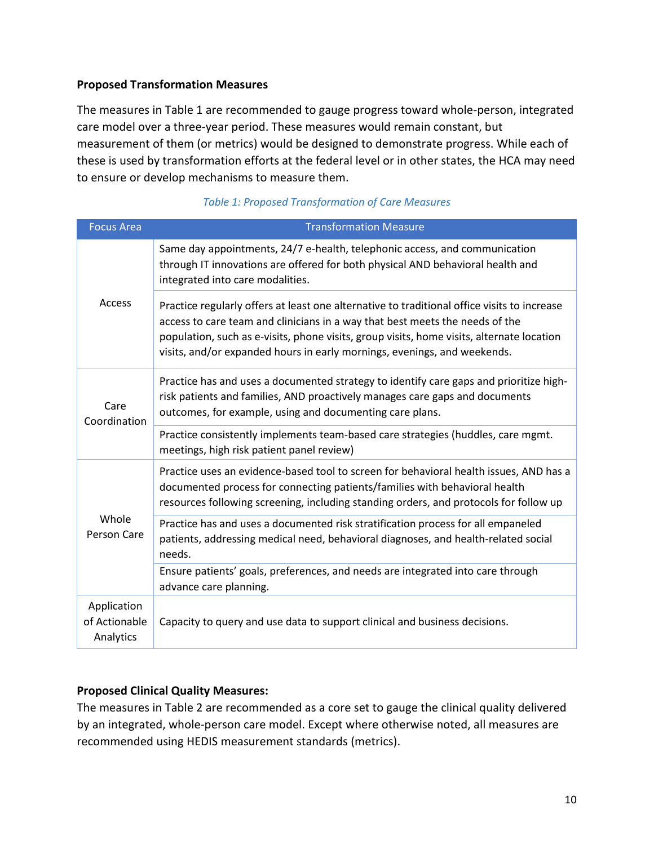#### **Proposed Transformation Measures**

The measures in Table 1 are recommended to gauge progress toward whole-person, integrated care model over a three-year period. These measures would remain constant, but measurement of them (or metrics) would be designed to demonstrate progress. While each of these is used by transformation efforts at the federal level or in other states, the HCA may need to ensure or develop mechanisms to measure them.

| <b>Focus Area</b>                         | <b>Transformation Measure</b>                                                                                                                                                                                                                                                                                                                        |
|-------------------------------------------|------------------------------------------------------------------------------------------------------------------------------------------------------------------------------------------------------------------------------------------------------------------------------------------------------------------------------------------------------|
| Access                                    | Same day appointments, 24/7 e-health, telephonic access, and communication<br>through IT innovations are offered for both physical AND behavioral health and<br>integrated into care modalities.                                                                                                                                                     |
|                                           | Practice regularly offers at least one alternative to traditional office visits to increase<br>access to care team and clinicians in a way that best meets the needs of the<br>population, such as e-visits, phone visits, group visits, home visits, alternate location<br>visits, and/or expanded hours in early mornings, evenings, and weekends. |
| Care<br>Coordination                      | Practice has and uses a documented strategy to identify care gaps and prioritize high-<br>risk patients and families, AND proactively manages care gaps and documents<br>outcomes, for example, using and documenting care plans.                                                                                                                    |
|                                           | Practice consistently implements team-based care strategies (huddles, care mgmt.<br>meetings, high risk patient panel review)                                                                                                                                                                                                                        |
| Whole<br>Person Care                      | Practice uses an evidence-based tool to screen for behavioral health issues, AND has a<br>documented process for connecting patients/families with behavioral health<br>resources following screening, including standing orders, and protocols for follow up                                                                                        |
|                                           | Practice has and uses a documented risk stratification process for all empaneled<br>patients, addressing medical need, behavioral diagnoses, and health-related social<br>needs.                                                                                                                                                                     |
|                                           | Ensure patients' goals, preferences, and needs are integrated into care through<br>advance care planning.                                                                                                                                                                                                                                            |
| Application<br>of Actionable<br>Analytics | Capacity to query and use data to support clinical and business decisions.                                                                                                                                                                                                                                                                           |

#### *Table 1: Proposed Transformation of Care Measures*

#### **Proposed Clinical Quality Measures:**

The measures in Table 2 are recommended as a core set to gauge the clinical quality delivered by an integrated, whole-person care model. Except where otherwise noted, all measures are recommended using HEDIS measurement standards (metrics).